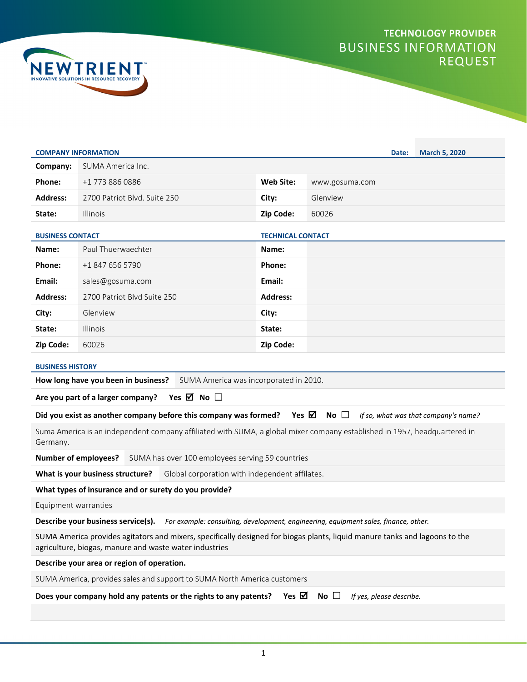## **TECHNOLOGY PROVIDER BUSINESS INFORMATION REQUEST**



|                                                     | <b>COMPANY INFORMATION</b>   | Date:            | <b>March 5, 2020</b> |  |
|-----------------------------------------------------|------------------------------|------------------|----------------------|--|
| Company:                                            | SUMA America Inc.            |                  |                      |  |
| Phone:                                              | +1 773 886 0886              | <b>Web Site:</b> | www.gosuma.com       |  |
| <b>Address:</b>                                     | 2700 Patriot Blvd. Suite 250 | City:            | Glenview             |  |
| State:                                              | <b>Illinois</b>              | Zip Code:        | 60026                |  |
| <b>BUSINESS CONTACT</b><br><b>TECHNICAL CONTACT</b> |                              |                  |                      |  |
| Name:                                               | Paul Thuerwaechter           | Name:            |                      |  |
| Phone:                                              | +1 847 656 5790              | Phone:           |                      |  |
| Email:                                              | sales@gosuma.com             | Email:           |                      |  |
| <b>Address:</b>                                     | 2700 Patriot Blyd Suite 250  | <b>Address:</b>  |                      |  |
| City:                                               | Glenview                     | City:            |                      |  |
| State:                                              | Illinois                     | State:           |                      |  |
| Zip Code:                                           | 60026                        | Zip Code:        |                      |  |

## **BUSINESS HISTORY**

**How long have you been in business?** SUMA America was incorporated in 2010.

**Are you part of a larger company? Yes No** ☐

| Did you exist as another company before this company was formed? Yes $\boxtimes$ No $\square$ If so, what was that company's name? |  |  |  |
|------------------------------------------------------------------------------------------------------------------------------------|--|--|--|
|------------------------------------------------------------------------------------------------------------------------------------|--|--|--|

Suma America is an independent company affiliated with SUMA, a global mixer company established in 1957, headquartered in Germany.

**Number of employees?** SUMA has over 100 employees serving 59 countries

**What is your business structure?** Global corporation with independent affilates.

**What types of insurance and or surety do you provide?**

Equipment warranties

**Describe your business service(s).** *For example: consulting, development, engineering, equipment sales, finance, other.*

SUMA America provides agitators and mixers, specifically designed for biogas plants, liquid manure tanks and lagoons to the agriculture, biogas, manure and waste water industries

**Describe your area or region of operation.**

SUMA America, provides sales and support to SUMA North America customers

Does your company hold any patents or the rights to any patents? Yes  $\boxtimes$  No  $\Box$  If yes, please describe.